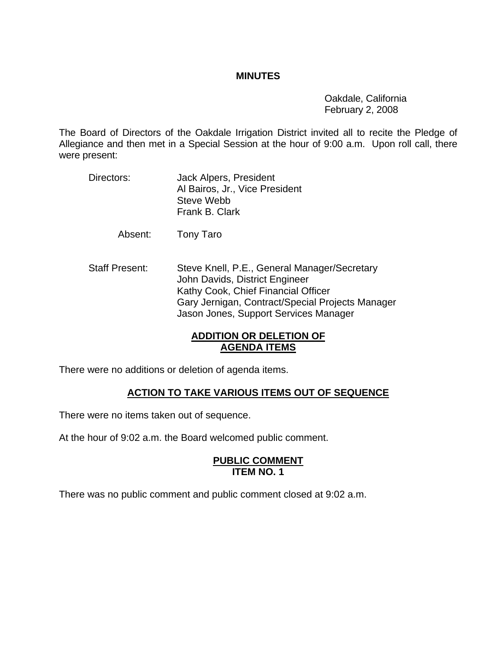#### **MINUTES**

 Oakdale, California February 2, 2008

The Board of Directors of the Oakdale Irrigation District invited all to recite the Pledge of Allegiance and then met in a Special Session at the hour of 9:00 a.m. Upon roll call, there were present:

Directors: Jack Alpers, President Al Bairos, Jr., Vice President Steve Webb Frank B. Clark

Absent: Tony Taro

Staff Present: Steve Knell, P.E., General Manager/Secretary John Davids, District Engineer Kathy Cook, Chief Financial Officer Gary Jernigan, Contract/Special Projects Manager Jason Jones, Support Services Manager

## **ADDITION OR DELETION OF AGENDA ITEMS**

There were no additions or deletion of agenda items.

### **ACTION TO TAKE VARIOUS ITEMS OUT OF SEQUENCE**

There were no items taken out of sequence.

At the hour of 9:02 a.m. the Board welcomed public comment.

#### **PUBLIC COMMENT ITEM NO. 1**

There was no public comment and public comment closed at 9:02 a.m.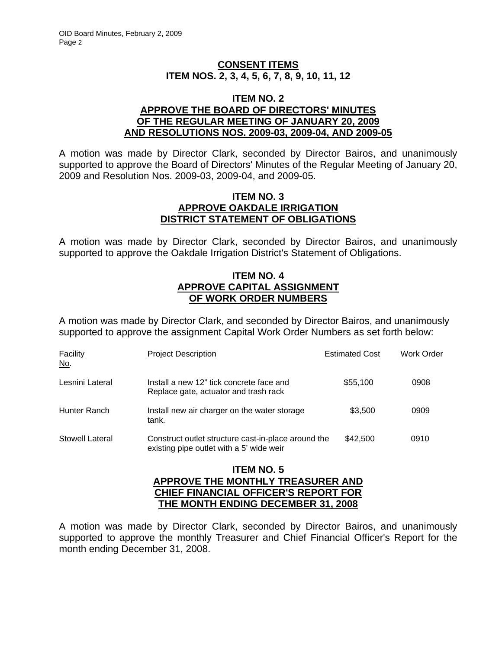### **CONSENT ITEMS ITEM NOS. 2, 3, 4, 5, 6, 7, 8, 9, 10, 11, 12**

#### **ITEM NO. 2 APPROVE THE BOARD OF DIRECTORS' MINUTES OF THE REGULAR MEETING OF JANUARY 20, 2009 AND RESOLUTIONS NOS. 2009-03, 2009-04, AND 2009-05**

A motion was made by Director Clark, seconded by Director Bairos, and unanimously supported to approve the Board of Directors' Minutes of the Regular Meeting of January 20, 2009 and Resolution Nos. 2009-03, 2009-04, and 2009-05.

#### **ITEM NO. 3 APPROVE OAKDALE IRRIGATION DISTRICT STATEMENT OF OBLIGATIONS**

A motion was made by Director Clark, seconded by Director Bairos, and unanimously supported to approve the Oakdale Irrigation District's Statement of Obligations.

#### **ITEM NO. 4 APPROVE CAPITAL ASSIGNMENT OF WORK ORDER NUMBERS**

A motion was made by Director Clark, and seconded by Director Bairos, and unanimously supported to approve the assignment Capital Work Order Numbers as set forth below:

| <b>Facility</b><br><u>No.</u> | <b>Project Description</b>                                                                      | <b>Estimated Cost</b> | Work Order |
|-------------------------------|-------------------------------------------------------------------------------------------------|-----------------------|------------|
| Lesnini Lateral               | Install a new 12" tick concrete face and<br>Replace gate, actuator and trash rack               | \$55,100              | 0908       |
| Hunter Ranch                  | Install new air charger on the water storage<br>tank.                                           | \$3.500               | 0909       |
| Stowell Lateral               | Construct outlet structure cast-in-place around the<br>existing pipe outlet with a 5' wide weir | \$42,500              | 0910       |

### **ITEM NO. 5 APPROVE THE MONTHLY TREASURER AND CHIEF FINANCIAL OFFICER'S REPORT FOR THE MONTH ENDING DECEMBER 31, 2008**

A motion was made by Director Clark, seconded by Director Bairos, and unanimously supported to approve the monthly Treasurer and Chief Financial Officer's Report for the month ending December 31, 2008.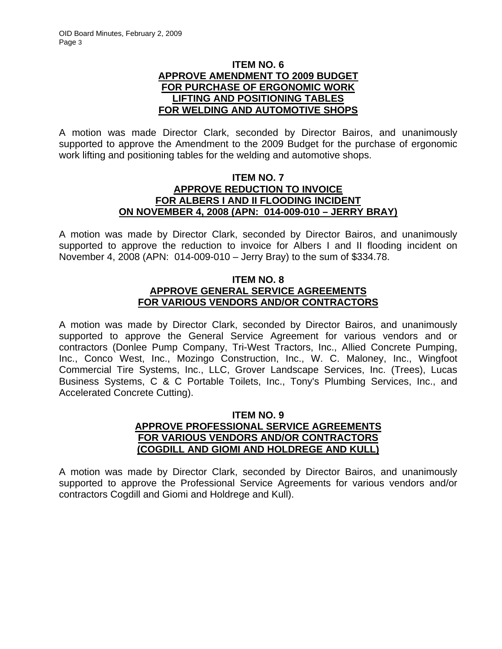#### **ITEM NO. 6 APPROVE AMENDMENT TO 2009 BUDGET FOR PURCHASE OF ERGONOMIC WORK LIFTING AND POSITIONING TABLES FOR WELDING AND AUTOMOTIVE SHOPS**

A motion was made Director Clark, seconded by Director Bairos, and unanimously supported to approve the Amendment to the 2009 Budget for the purchase of ergonomic work lifting and positioning tables for the welding and automotive shops.

### **ITEM NO. 7 APPROVE REDUCTION TO INVOICE FOR ALBERS I AND II FLOODING INCIDENT ON NOVEMBER 4, 2008 (APN: 014-009-010 – JERRY BRAY)**

A motion was made by Director Clark, seconded by Director Bairos, and unanimously supported to approve the reduction to invoice for Albers I and II flooding incident on November 4, 2008 (APN: 014-009-010 – Jerry Bray) to the sum of \$334.78.

## **ITEM NO. 8 APPROVE GENERAL SERVICE AGREEMENTS FOR VARIOUS VENDORS AND/OR CONTRACTORS**

A motion was made by Director Clark, seconded by Director Bairos, and unanimously supported to approve the General Service Agreement for various vendors and or contractors (Donlee Pump Company, Tri-West Tractors, Inc., Allied Concrete Pumping, Inc., Conco West, Inc., Mozingo Construction, Inc., W. C. Maloney, Inc., Wingfoot Commercial Tire Systems, Inc., LLC, Grover Landscape Services, Inc. (Trees), Lucas Business Systems, C & C Portable Toilets, Inc., Tony's Plumbing Services, Inc., and Accelerated Concrete Cutting).

### **ITEM NO. 9 APPROVE PROFESSIONAL SERVICE AGREEMENTS FOR VARIOUS VENDORS AND/OR CONTRACTORS (COGDILL AND GIOMI AND HOLDREGE AND KULL)**

A motion was made by Director Clark, seconded by Director Bairos, and unanimously supported to approve the Professional Service Agreements for various vendors and/or contractors Cogdill and Giomi and Holdrege and Kull).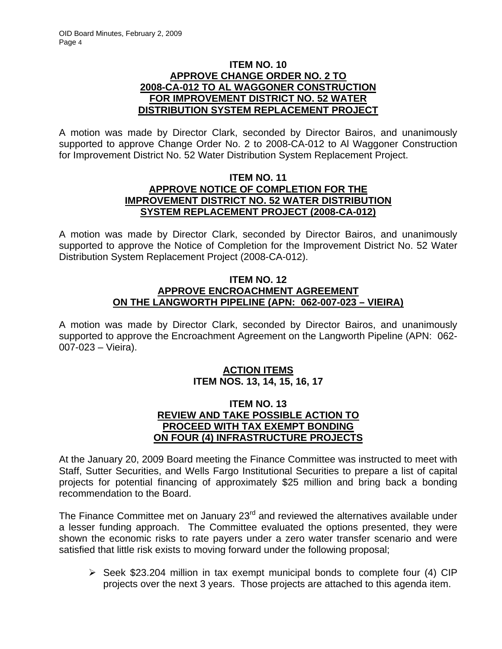### **ITEM NO. 10 APPROVE CHANGE ORDER NO. 2 TO 2008-CA-012 TO AL WAGGONER CONSTRUCTION FOR IMPROVEMENT DISTRICT NO. 52 WATER DISTRIBUTION SYSTEM REPLACEMENT PROJECT**

A motion was made by Director Clark, seconded by Director Bairos, and unanimously supported to approve Change Order No. 2 to 2008-CA-012 to Al Waggoner Construction for Improvement District No. 52 Water Distribution System Replacement Project.

## **ITEM NO. 11 APPROVE NOTICE OF COMPLETION FOR THE IMPROVEMENT DISTRICT NO. 52 WATER DISTRIBUTION SYSTEM REPLACEMENT PROJECT (2008-CA-012)**

A motion was made by Director Clark, seconded by Director Bairos, and unanimously supported to approve the Notice of Completion for the Improvement District No. 52 Water Distribution System Replacement Project (2008-CA-012).

## **ITEM NO. 12 APPROVE ENCROACHMENT AGREEMENT ON THE LANGWORTH PIPELINE (APN: 062-007-023 – VIEIRA)**

A motion was made by Director Clark, seconded by Director Bairos, and unanimously supported to approve the Encroachment Agreement on the Langworth Pipeline (APN: 062- 007-023 – Vieira).

## **ACTION ITEMS ITEM NOS. 13, 14, 15, 16, 17**

### **ITEM NO. 13 REVIEW AND TAKE POSSIBLE ACTION TO PROCEED WITH TAX EXEMPT BONDING ON FOUR (4) INFRASTRUCTURE PROJECTS**

At the January 20, 2009 Board meeting the Finance Committee was instructed to meet with Staff, Sutter Securities, and Wells Fargo Institutional Securities to prepare a list of capital projects for potential financing of approximately \$25 million and bring back a bonding recommendation to the Board.

The Finance Committee met on January 23<sup>rd</sup> and reviewed the alternatives available under a lesser funding approach. The Committee evaluated the options presented, they were shown the economic risks to rate payers under a zero water transfer scenario and were satisfied that little risk exists to moving forward under the following proposal;

 $\triangleright$  Seek \$23.204 million in tax exempt municipal bonds to complete four (4) CIP projects over the next 3 years. Those projects are attached to this agenda item.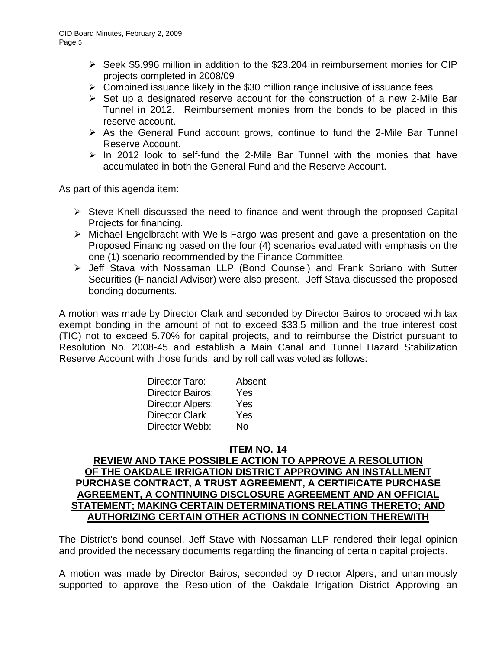- ¾ Seek \$5.996 million in addition to the \$23.204 in reimbursement monies for CIP projects completed in 2008/09
- $\triangleright$  Combined issuance likely in the \$30 million range inclusive of issuance fees
- $\triangleright$  Set up a designated reserve account for the construction of a new 2-Mile Bar Tunnel in 2012. Reimbursement monies from the bonds to be placed in this reserve account.
- $\triangleright$  As the General Fund account grows, continue to fund the 2-Mile Bar Tunnel Reserve Account.
- $\ge$  In 2012 look to self-fund the 2-Mile Bar Tunnel with the monies that have accumulated in both the General Fund and the Reserve Account.

As part of this agenda item:

- $\triangleright$  Steve Knell discussed the need to finance and went through the proposed Capital Projects for financing.
- ¾ Michael Engelbracht with Wells Fargo was present and gave a presentation on the Proposed Financing based on the four (4) scenarios evaluated with emphasis on the one (1) scenario recommended by the Finance Committee.
- ¾ Jeff Stava with Nossaman LLP (Bond Counsel) and Frank Soriano with Sutter Securities (Financial Advisor) were also present. Jeff Stava discussed the proposed bonding documents.

A motion was made by Director Clark and seconded by Director Bairos to proceed with tax exempt bonding in the amount of not to exceed \$33.5 million and the true interest cost (TIC) not to exceed 5.70% for capital projects, and to reimburse the District pursuant to Resolution No. 2008-45 and establish a Main Canal and Tunnel Hazard Stabilization Reserve Account with those funds, and by roll call was voted as follows:

| Director Taro:          | Absent |
|-------------------------|--------|
| Director Bairos:        | Yes    |
| <b>Director Alpers:</b> | Yes    |
| <b>Director Clark</b>   | Yes    |
| Director Webb:          | Nο     |

### **ITEM NO. 14**

## **REVIEW AND TAKE POSSIBLE ACTION TO APPROVE A RESOLUTION OF THE OAKDALE IRRIGATION DISTRICT APPROVING AN INSTALLMENT PURCHASE CONTRACT, A TRUST AGREEMENT, A CERTIFICATE PURCHASE AGREEMENT, A CONTINUING DISCLOSURE AGREEMENT AND AN OFFICIAL STATEMENT; MAKING CERTAIN DETERMINATIONS RELATING THERETO; AND AUTHORIZING CERTAIN OTHER ACTIONS IN CONNECTION THEREWITH**

The District's bond counsel, Jeff Stave with Nossaman LLP rendered their legal opinion and provided the necessary documents regarding the financing of certain capital projects.

A motion was made by Director Bairos, seconded by Director Alpers, and unanimously supported to approve the Resolution of the Oakdale Irrigation District Approving an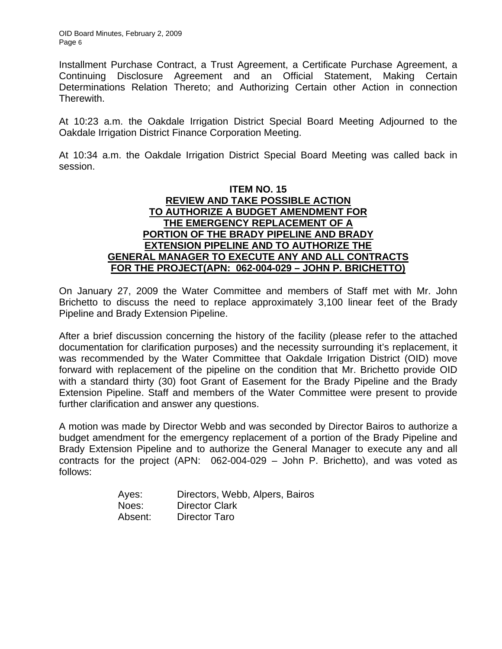Installment Purchase Contract, a Trust Agreement, a Certificate Purchase Agreement, a Continuing Disclosure Agreement and an Official Statement, Making Certain Determinations Relation Thereto; and Authorizing Certain other Action in connection Therewith.

At 10:23 a.m. the Oakdale Irrigation District Special Board Meeting Adjourned to the Oakdale Irrigation District Finance Corporation Meeting.

At 10:34 a.m. the Oakdale Irrigation District Special Board Meeting was called back in session.

### **ITEM NO. 15 REVIEW AND TAKE POSSIBLE ACTION TO AUTHORIZE A BUDGET AMENDMENT FOR THE EMERGENCY REPLACEMENT OF A PORTION OF THE BRADY PIPELINE AND BRADY EXTENSION PIPELINE AND TO AUTHORIZE THE GENERAL MANAGER TO EXECUTE ANY AND ALL CONTRACTS FOR THE PROJECT(APN: 062-004-029 – JOHN P. BRICHETTO)**

On January 27, 2009 the Water Committee and members of Staff met with Mr. John Brichetto to discuss the need to replace approximately 3,100 linear feet of the Brady Pipeline and Brady Extension Pipeline.

After a brief discussion concerning the history of the facility (please refer to the attached documentation for clarification purposes) and the necessity surrounding it's replacement, it was recommended by the Water Committee that Oakdale Irrigation District (OID) move forward with replacement of the pipeline on the condition that Mr. Brichetto provide OID with a standard thirty (30) foot Grant of Easement for the Brady Pipeline and the Brady Extension Pipeline. Staff and members of the Water Committee were present to provide further clarification and answer any questions.

A motion was made by Director Webb and was seconded by Director Bairos to authorize a budget amendment for the emergency replacement of a portion of the Brady Pipeline and Brady Extension Pipeline and to authorize the General Manager to execute any and all contracts for the project (APN: 062-004-029 – John P. Brichetto), and was voted as follows:

| Ayes:   | Directors, Webb, Alpers, Bairos |
|---------|---------------------------------|
| Noes:   | <b>Director Clark</b>           |
| Absent: | Director Taro                   |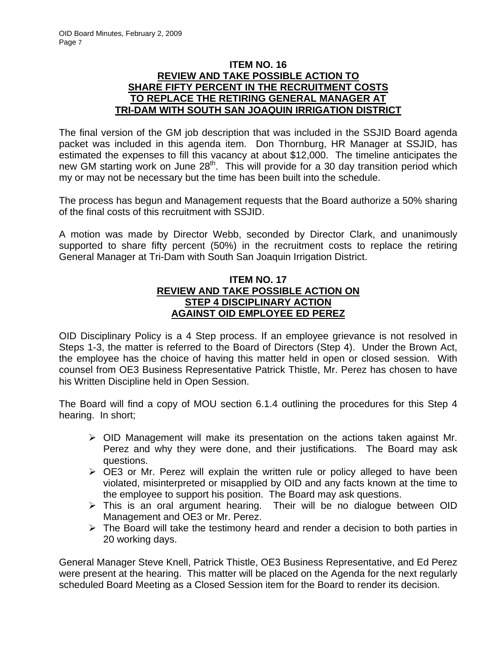### **ITEM NO. 16 REVIEW AND TAKE POSSIBLE ACTION TO SHARE FIFTY PERCENT IN THE RECRUITMENT COSTS TO REPLACE THE RETIRING GENERAL MANAGER AT TRI-DAM WITH SOUTH SAN JOAQUIN IRRIGATION DISTRICT**

The final version of the GM job description that was included in the SSJID Board agenda packet was included in this agenda item. Don Thornburg, HR Manager at SSJID, has estimated the expenses to fill this vacancy at about \$12,000. The timeline anticipates the new GM starting work on June 28<sup>th</sup>. This will provide for a 30 day transition period which my or may not be necessary but the time has been built into the schedule.

The process has begun and Management requests that the Board authorize a 50% sharing of the final costs of this recruitment with SSJID.

A motion was made by Director Webb, seconded by Director Clark, and unanimously supported to share fifty percent (50%) in the recruitment costs to replace the retiring General Manager at Tri-Dam with South San Joaquin Irrigation District.

## **ITEM NO. 17 REVIEW AND TAKE POSSIBLE ACTION ON STEP 4 DISCIPLINARY ACTION AGAINST OID EMPLOYEE ED PEREZ**

OID Disciplinary Policy is a 4 Step process. If an employee grievance is not resolved in Steps 1-3, the matter is referred to the Board of Directors (Step 4). Under the Brown Act, the employee has the choice of having this matter held in open or closed session. With counsel from OE3 Business Representative Patrick Thistle, Mr. Perez has chosen to have his Written Discipline held in Open Session.

The Board will find a copy of MOU section 6.1.4 outlining the procedures for this Step 4 hearing. In short;

- $\triangleright$  OID Management will make its presentation on the actions taken against Mr. Perez and why they were done, and their justifications. The Board may ask questions.
- ¾ OE3 or Mr. Perez will explain the written rule or policy alleged to have been violated, misinterpreted or misapplied by OID and any facts known at the time to the employee to support his position. The Board may ask questions.
- $\triangleright$  This is an oral argument hearing. Their will be no dialogue between OID Management and OE3 or Mr. Perez.
- $\triangleright$  The Board will take the testimony heard and render a decision to both parties in 20 working days.

General Manager Steve Knell, Patrick Thistle, OE3 Business Representative, and Ed Perez were present at the hearing. This matter will be placed on the Agenda for the next regularly scheduled Board Meeting as a Closed Session item for the Board to render its decision.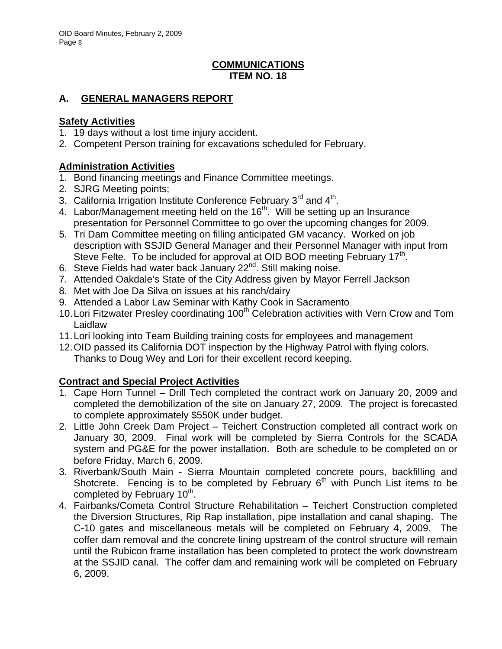## **COMMUNICATIONS ITEM NO. 18**

# **A. GENERAL MANAGERS REPORT**

## **Safety Activities**

- 1. 19 days without a lost time injury accident.
- 2. Competent Person training for excavations scheduled for February.

## **Administration Activities**

- 1. Bond financing meetings and Finance Committee meetings.
- 2. SJRG Meeting points;
- 3. California Irrigation Institute Conference February 3<sup>rd</sup> and 4<sup>th</sup>.
- 4. Labor/Management meeting held on the  $16<sup>th</sup>$ . Will be setting up an Insurance presentation for Personnel Committee to go over the upcoming changes for 2009.
- 5. Tri Dam Committee meeting on filling anticipated GM vacancy. Worked on job description with SSJID General Manager and their Personnel Manager with input from Steve Felte. To be included for approval at OID BOD meeting February  $17<sup>th</sup>$ .
- 6. Steve Fields had water back January 22<sup>nd</sup>. Still making noise.
- 7. Attended Oakdale's State of the City Address given by Mayor Ferrell Jackson
- 8. Met with Joe Da Silva on issues at his ranch/dairy
- 9. Attended a Labor Law Seminar with Kathy Cook in Sacramento
- 10. Lori Fitzwater Presley coordinating 100<sup>th</sup> Celebration activities with Vern Crow and Tom Laidlaw
- 11. Lori looking into Team Building training costs for employees and management
- 12. OID passed its California DOT inspection by the Highway Patrol with flying colors. Thanks to Doug Wey and Lori for their excellent record keeping.

# **Contract and Special Project Activities**

- 1. Cape Horn Tunnel Drill Tech completed the contract work on January 20, 2009 and completed the demobilization of the site on January 27, 2009. The project is forecasted to complete approximately \$550K under budget.
- 2. Little John Creek Dam Project Teichert Construction completed all contract work on January 30, 2009. Final work will be completed by Sierra Controls for the SCADA system and PG&E for the power installation. Both are schedule to be completed on or before Friday, March 6, 2009.
- 3. Riverbank/South Main Sierra Mountain completed concrete pours, backfilling and Shotcrete. Fencing is to be completed by February  $6<sup>th</sup>$  with Punch List items to be completed by February 10<sup>th</sup>.
- 4. Fairbanks/Cometa Control Structure Rehabilitation Teichert Construction completed the Diversion Structures, Rip Rap installation, pipe installation and canal shaping. The C-10 gates and miscellaneous metals will be completed on February 4, 2009. The coffer dam removal and the concrete lining upstream of the control structure will remain until the Rubicon frame installation has been completed to protect the work downstream at the SSJID canal. The coffer dam and remaining work will be completed on February 6, 2009.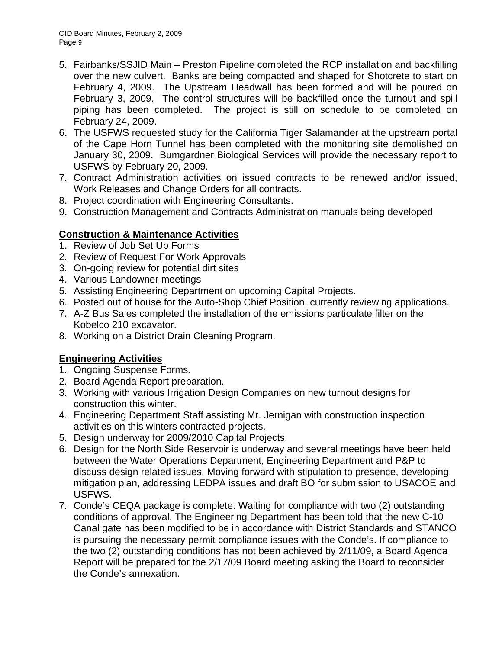- 5. Fairbanks/SSJID Main Preston Pipeline completed the RCP installation and backfilling over the new culvert. Banks are being compacted and shaped for Shotcrete to start on February 4, 2009. The Upstream Headwall has been formed and will be poured on February 3, 2009. The control structures will be backfilled once the turnout and spill piping has been completed. The project is still on schedule to be completed on February 24, 2009.
- 6. The USFWS requested study for the California Tiger Salamander at the upstream portal of the Cape Horn Tunnel has been completed with the monitoring site demolished on January 30, 2009. Bumgardner Biological Services will provide the necessary report to USFWS by February 20, 2009.
- 7. Contract Administration activities on issued contracts to be renewed and/or issued, Work Releases and Change Orders for all contracts.
- 8. Project coordination with Engineering Consultants.
- 9. Construction Management and Contracts Administration manuals being developed

## **Construction & Maintenance Activities**

- 1. Review of Job Set Up Forms
- 2. Review of Request For Work Approvals
- 3. On-going review for potential dirt sites
- 4. Various Landowner meetings
- 5. Assisting Engineering Department on upcoming Capital Projects.
- 6. Posted out of house for the Auto-Shop Chief Position, currently reviewing applications.
- 7. A-Z Bus Sales completed the installation of the emissions particulate filter on the Kobelco 210 excavator.
- 8. Working on a District Drain Cleaning Program.

## **Engineering Activities**

- 1. Ongoing Suspense Forms.
- 2. Board Agenda Report preparation.
- 3. Working with various Irrigation Design Companies on new turnout designs for construction this winter.
- 4. Engineering Department Staff assisting Mr. Jernigan with construction inspection activities on this winters contracted projects.
- 5. Design underway for 2009/2010 Capital Projects.
- 6. Design for the North Side Reservoir is underway and several meetings have been held between the Water Operations Department, Engineering Department and P&P to discuss design related issues. Moving forward with stipulation to presence, developing mitigation plan, addressing LEDPA issues and draft BO for submission to USACOE and USFWS.
- 7. Conde's CEQA package is complete. Waiting for compliance with two (2) outstanding conditions of approval. The Engineering Department has been told that the new C-10 Canal gate has been modified to be in accordance with District Standards and STANCO is pursuing the necessary permit compliance issues with the Conde's. If compliance to the two (2) outstanding conditions has not been achieved by 2/11/09, a Board Agenda Report will be prepared for the 2/17/09 Board meeting asking the Board to reconsider the Conde's annexation.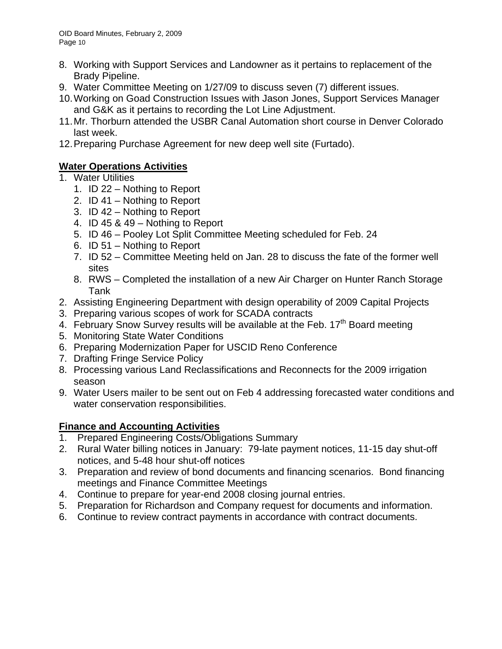- 8. Working with Support Services and Landowner as it pertains to replacement of the Brady Pipeline.
- 9. Water Committee Meeting on 1/27/09 to discuss seven (7) different issues.
- 10. Working on Goad Construction Issues with Jason Jones, Support Services Manager and G&K as it pertains to recording the Lot Line Adjustment.
- 11. Mr. Thorburn attended the USBR Canal Automation short course in Denver Colorado last week.
- 12. Preparing Purchase Agreement for new deep well site (Furtado).

# **Water Operations Activities**

- 1. Water Utilities
	- 1. ID 22 Nothing to Report
	- 2. ID 41 Nothing to Report
	- 3. ID 42 Nothing to Report
	- 4. ID 45 & 49 Nothing to Report
	- 5. ID 46 Pooley Lot Split Committee Meeting scheduled for Feb. 24
	- 6. ID 51 Nothing to Report
	- 7. ID 52 Committee Meeting held on Jan. 28 to discuss the fate of the former well sites
	- 8. RWS Completed the installation of a new Air Charger on Hunter Ranch Storage Tank
- 2. Assisting Engineering Department with design operability of 2009 Capital Projects
- 3. Preparing various scopes of work for SCADA contracts
- 4. February Snow Survey results will be available at the Feb. 17<sup>th</sup> Board meeting
- 5. Monitoring State Water Conditions
- 6. Preparing Modernization Paper for USCID Reno Conference
- 7. Drafting Fringe Service Policy
- 8. Processing various Land Reclassifications and Reconnects for the 2009 irrigation season
- 9. Water Users mailer to be sent out on Feb 4 addressing forecasted water conditions and water conservation responsibilities.

## **Finance and Accounting Activities**

- 1. Prepared Engineering Costs/Obligations Summary
- 2. Rural Water billing notices in January: 79-late payment notices, 11-15 day shut-off notices, and 5-48 hour shut-off notices
- 3. Preparation and review of bond documents and financing scenarios. Bond financing meetings and Finance Committee Meetings
- 4. Continue to prepare for year-end 2008 closing journal entries.
- 5. Preparation for Richardson and Company request for documents and information.
- 6. Continue to review contract payments in accordance with contract documents.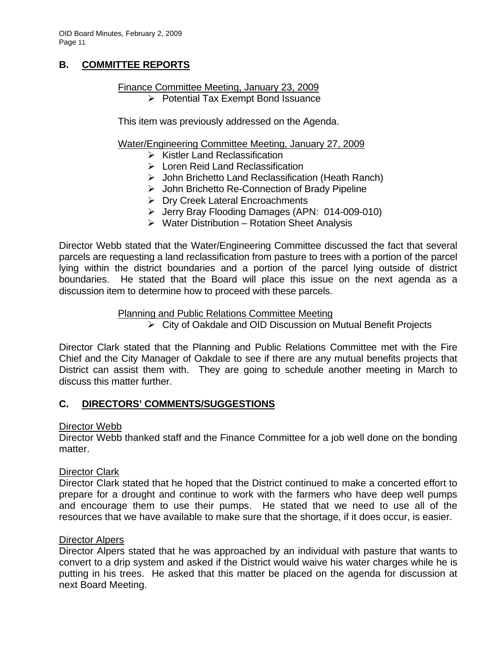## **B. COMMITTEE REPORTS**

#### Finance Committee Meeting, January 23, 2009 ¾ Potential Tax Exempt Bond Issuance

This item was previously addressed on the Agenda.

#### Water/Engineering Committee Meeting, January 27, 2009

- $\triangleright$  Kistler Land Reclassification
- $\triangleright$  Loren Reid Land Reclassification
- ¾ John Brichetto Land Reclassification (Heath Ranch)
- ¾ John Brichetto Re-Connection of Brady Pipeline
- ¾ Dry Creek Lateral Encroachments
- ¾ Jerry Bray Flooding Damages (APN: 014-009-010)
- $\triangleright$  Water Distribution Rotation Sheet Analysis

Director Webb stated that the Water/Engineering Committee discussed the fact that several parcels are requesting a land reclassification from pasture to trees with a portion of the parcel lying within the district boundaries and a portion of the parcel lying outside of district boundaries. He stated that the Board will place this issue on the next agenda as a discussion item to determine how to proceed with these parcels.

#### Planning and Public Relations Committee Meeting

¾ City of Oakdale and OID Discussion on Mutual Benefit Projects

Director Clark stated that the Planning and Public Relations Committee met with the Fire Chief and the City Manager of Oakdale to see if there are any mutual benefits projects that District can assist them with. They are going to schedule another meeting in March to discuss this matter further.

### **C. DIRECTORS' COMMENTS/SUGGESTIONS**

#### Director Webb

Director Webb thanked staff and the Finance Committee for a job well done on the bonding matter.

#### Director Clark

Director Clark stated that he hoped that the District continued to make a concerted effort to prepare for a drought and continue to work with the farmers who have deep well pumps and encourage them to use their pumps. He stated that we need to use all of the resources that we have available to make sure that the shortage, if it does occur, is easier.

#### Director Alpers

Director Alpers stated that he was approached by an individual with pasture that wants to convert to a drip system and asked if the District would waive his water charges while he is putting in his trees. He asked that this matter be placed on the agenda for discussion at next Board Meeting.